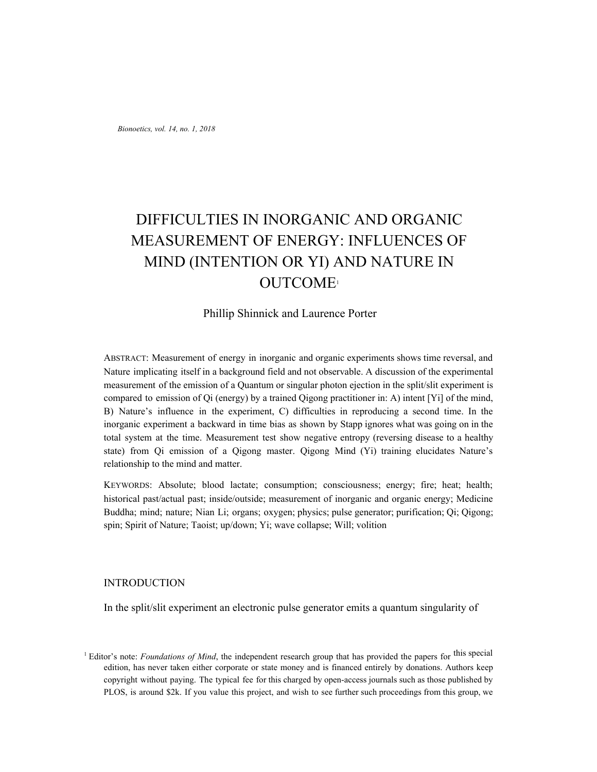*Bionoetics, vol. 14, no. 1, 2018*

# DIFFICULTIES IN INORGANIC AND ORGANIC MEASUREMENT OF ENERGY: INFLUENCES OF MIND (INTENTION OR YI) AND NATURE IN OUTCOME<sup>1</sup>

# Phillip Shinnick and Laurence Porter

ABSTRACT: Measurement of energy in inorganic and organic experiments shows time reversal, and Nature implicating itself in a background field and not observable. A discussion of the experimental measurement of the emission of a Quantum or singular photon ejection in the split/slit experiment is compared to emission of Qi (energy) by a trained Qigong practitioner in: A) intent [Yi] of the mind, B) Nature's influence in the experiment, C) difficulties in reproducing a second time. In the inorganic experiment a backward in time bias as shown by Stapp ignores what was going on in the total system at the time. Measurement test show negative entropy (reversing disease to a healthy state) from Qi emission of a Qigong master. Qigong Mind (Yi) training elucidates Nature's relationship to the mind and matter.

KEYWORDS: Absolute; blood lactate; consumption; consciousness; energy; fire; heat; health; historical past/actual past; inside/outside; measurement of inorganic and organic energy; Medicine Buddha; mind; nature; Nian Li; organs; oxygen; physics; pulse generator; purification; Qi; Qigong; spin; Spirit of Nature; Taoist; up/down; Yi; wave collapse; Will; volition

#### INTRODUCTION

In the split/slit experiment an electronic pulse generator emits a quantum singularity of

<sup>1</sup> Editor's note: *Foundations of Mind*, the independent research group that has provided the papers for this special edition, has never taken either corporate or state money and is financed entirely by donations. Authors keep copyright without paying. The typical fee for this charged by open-access journals such as those published by PLOS, is around \$2k. If you value this project, and wish to see further such proceedings from this group, we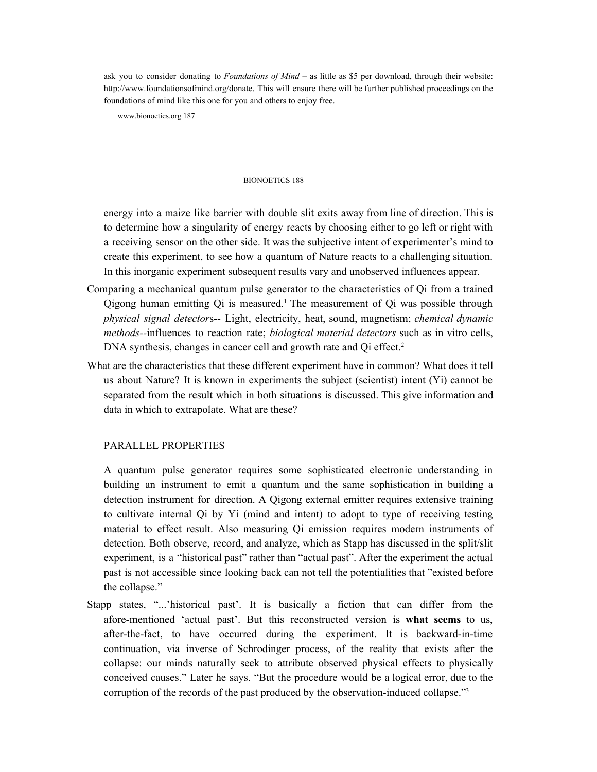ask you to consider donating to *Foundations of Mind* – as little as \$5 per download, through their website: http://www.foundationsofmind.org/donate. This will ensure there will be further published proceedings on the foundations of mind like this one for you and others to enjoy free.

www.bionoetics.org 187

#### BIONOETICS 188

energy into a maize like barrier with double slit exits away from line of direction. This is to determine how a singularity of energy reacts by choosing either to go left or right with a receiving sensor on the other side. It was the subjective intent of experimenter's mind to create this experiment, to see how a quantum of Nature reacts to a challenging situation. In this inorganic experiment subsequent results vary and unobserved influences appear.

- Comparing a mechanical quantum pulse generator to the characteristics of Qi from a trained Qigong human emitting Qi is measured. <sup>1</sup> The measurement of Qi was possible through *physical signal detector*s-- Light, electricity, heat, sound, magnetism; *chemical dynamic methods--*influences to reaction rate; *biological material detectors* such as in vitro cells, DNA synthesis, changes in cancer cell and growth rate and Qi effect.<sup>2</sup>
- What are the characteristics that these different experiment have in common? What does it tell us about Nature? It is known in experiments the subject (scientist) intent (Yi) cannot be separated from the result which in both situations is discussed. This give information and data in which to extrapolate. What are these?

#### PARALLEL PROPERTIES

A quantum pulse generator requires some sophisticated electronic understanding in building an instrument to emit a quantum and the same sophistication in building a detection instrument for direction. A Qigong external emitter requires extensive training to cultivate internal Qi by Yi (mind and intent) to adopt to type of receiving testing material to effect result. Also measuring Qi emission requires modern instruments of detection. Both observe, record, and analyze, which as Stapp has discussed in the split/slit experiment, is a "historical past" rather than "actual past". After the experiment the actual past is not accessible since looking back can not tell the potentialities that "existed before the collapse."

Stapp states, "...'historical past'. It is basically a fiction that can differ from the afore-mentioned 'actual past'. But this reconstructed version is **what seems** to us, after-the-fact, to have occurred during the experiment. It is backward-in-time continuation, via inverse of Schrodinger process, of the reality that exists after the collapse: our minds naturally seek to attribute observed physical effects to physically conceived causes." Later he says. "But the procedure would be a logical error, due to the corruption of the records of the past produced by the observation-induced collapse." 3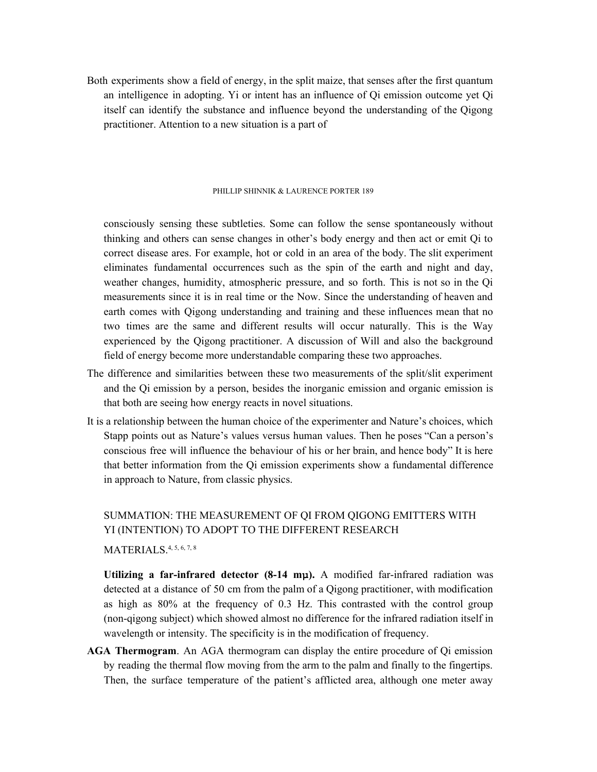Both experiments show a field of energy, in the split maize, that senses after the first quantum an intelligence in adopting. Yi or intent has an influence of Qi emission outcome yet Qi itself can identify the substance and influence beyond the understanding of the Qigong practitioner. Attention to a new situation is a part of

#### PHILLIP SHINNIK & LAURENCE PORTER 189

consciously sensing these subtleties. Some can follow the sense spontaneously without thinking and others can sense changes in other's body energy and then act or emit Qi to correct disease ares. For example, hot or cold in an area of the body. The slit experiment eliminates fundamental occurrences such as the spin of the earth and night and day, weather changes, humidity, atmospheric pressure, and so forth. This is not so in the Qi measurements since it is in real time or the Now. Since the understanding of heaven and earth comes with Qigong understanding and training and these influences mean that no two times are the same and different results will occur naturally. This is the Way experienced by the Qigong practitioner. A discussion of Will and also the background field of energy become more understandable comparing these two approaches.

- The difference and similarities between these two measurements of the split/slit experiment and the Qi emission by a person, besides the inorganic emission and organic emission is that both are seeing how energy reacts in novel situations.
- It is a relationship between the human choice of the experimenter and Nature's choices, which Stapp points out as Nature's values versus human values. Then he poses "Can a person's conscious free will influence the behaviour of his or her brain, and hence body" It is here that better information from the Qi emission experiments show a fundamental difference in approach to Nature, from classic physics.

# SUMMATION: THE MEASUREMENT OF QI FROM QIGONG EMITTERS WITH YI (INTENTION) TO ADOPT TO THE DIFFERENT RESEARCH MATERIALS. 4, 5, 6, 7, 8

**Utilizing a far-infrared detector (8-14 mμ).** A modified far-infrared radiation was detected at a distance of 50 cm from the palm of a Qigong practitioner, with modification as high as 80% at the frequency of 0.3 Hz. This contrasted with the control group (non-qigong subject) which showed almost no difference for the infrared radiation itself in wavelength or intensity. The specificity is in the modification of frequency.

**AGA Thermogram**. An AGA thermogram can display the entire procedure of Qi emission by reading the thermal flow moving from the arm to the palm and finally to the fingertips. Then, the surface temperature of the patient's afflicted area, although one meter away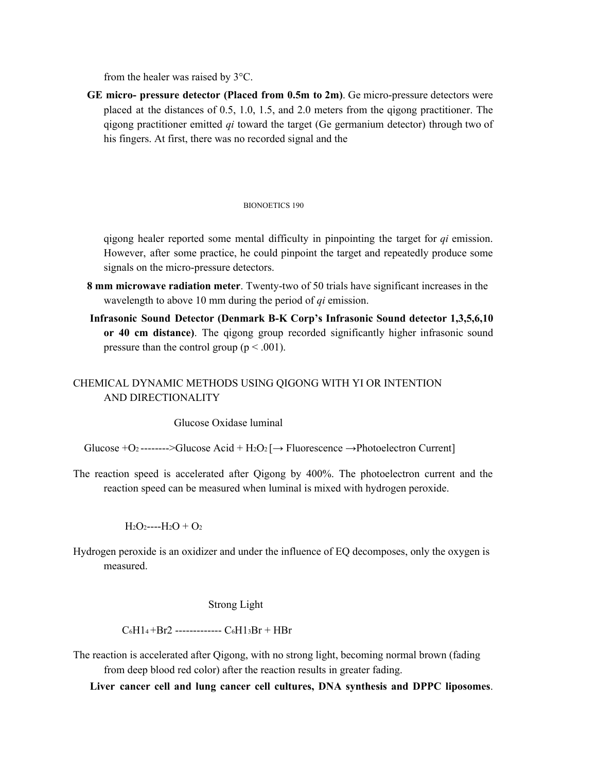from the healer was raised by 3°C.

**GE micro- pressure detector (Placed from 0.5m to 2m)**. Ge micro-pressure detectors were placed at the distances of 0.5, 1.0, 1.5, and 2.0 meters from the qigong practitioner. The qigong practitioner emitted *qi* toward the target (Ge germanium detector) through two of his fingers. At first, there was no recorded signal and the

#### BIONOETICS 190

qigong healer reported some mental difficulty in pinpointing the target for *qi* emission. However, after some practice, he could pinpoint the target and repeatedly produce some signals on the micro-pressure detectors.

- **8 mm microwave radiation meter**. Twenty-two of 50 trials have significant increases in the wavelength to above 10 mm during the period of *qi* emission.
- **Infrasonic Sound Detector (Denmark B-K Corp's Infrasonic Sound detector 1,3,5,6,10 or 40 cm distance)**. The qigong group recorded significantly higher infrasonic sound pressure than the control group ( $p < .001$ ).

# CHEMICAL DYNAMIC METHODS USING QIGONG WITH YI OR INTENTION AND DIRECTIONALITY

Glucose Oxidase luminal

Glucose +O<sub>2</sub> -------->Glucose Acid + H<sub>2</sub>O<sub>2</sub>  $\rightarrow$  Fluorescence  $\rightarrow$  Photoelectron Current

The reaction speed is accelerated after Qigong by 400%. The photoelectron current and the reaction speed can be measured when luminal is mixed with hydrogen peroxide.

 $H_2O_2$ ---- $H_2O + O_2$ 

Hydrogen peroxide is an oxidizer and under the influence of EQ decomposes, only the oxygen is measured.

#### Strong Light

 $C_6H1_4 + Br2$  -------------  $C_6H1_3Br + HBr$ 

The reaction is accelerated after Qigong, with no strong light, becoming normal brown (fading from deep blood red color) after the reaction results in greater fading.

**Liver cancer cell and lung cancer cell cultures, DNA synthesis and DPPC liposomes**.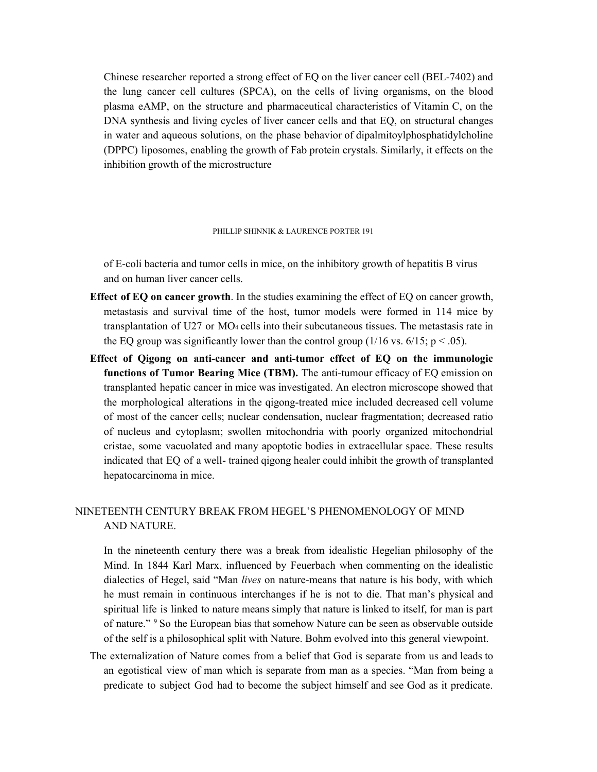Chinese researcher reported a strong effect of EQ on the liver cancer cell (BEL-7402) and the lung cancer cell cultures (SPCA), on the cells of living organisms, on the blood plasma eAMP, on the structure and pharmaceutical characteristics of Vitamin C, on the DNA synthesis and living cycles of liver cancer cells and that EQ, on structural changes in water and aqueous solutions, on the phase behavior of dipalmitoylphosphatidylcholine (DPPC) liposomes, enabling the growth of Fab protein crystals. Similarly, it effects on the inhibition growth of the microstructure

#### PHILLIP SHINNIK & LAURENCE PORTER 191

of E-coli bacteria and tumor cells in mice, on the inhibitory growth of hepatitis B virus and on human liver cancer cells.

- **Effect of EQ on cancer growth**. In the studies examining the effect of EQ on cancer growth, metastasis and survival time of the host, tumor models were formed in 114 mice by transplantation of U27 or MO<sup>4</sup> cells into their subcutaneous tissues. The metastasis rate in the EQ group was significantly lower than the control group (1/16 vs.  $6/15$ ; p < .05).
- **Effect of Qigong on anti-cancer and anti-tumor effect of EQ on the immunologic functions of Tumor Bearing Mice (TBM).** The anti-tumour efficacy of EQ emission on transplanted hepatic cancer in mice was investigated. An electron microscope showed that the morphological alterations in the qigong-treated mice included decreased cell volume of most of the cancer cells; nuclear condensation, nuclear fragmentation; decreased ratio of nucleus and cytoplasm; swollen mitochondria with poorly organized mitochondrial cristae, some vacuolated and many apoptotic bodies in extracellular space. These results indicated that EQ of a well- trained qigong healer could inhibit the growth of transplanted hepatocarcinoma in mice.

# NINETEENTH CENTURY BREAK FROM HEGEL'S PHENOMENOLOGY OF MIND AND NATURE.

In the nineteenth century there was a break from idealistic Hegelian philosophy of the Mind. In 1844 Karl Marx, influenced by Feuerbach when commenting on the idealistic dialectics of Hegel, said "Man *lives* on nature-means that nature is his body, with which he must remain in continuous interchanges if he is not to die. That man's physical and spiritual life is linked to nature means simply that nature is linked to itself, for man is part of nature." <sup>9</sup> So the European bias that somehow Nature can be seen as observable outside of the self is a philosophical split with Nature. Bohm evolved into this general viewpoint.

The externalization of Nature comes from a belief that God is separate from us and leads to an egotistical view of man which is separate from man as a species. "Man from being a predicate to subject God had to become the subject himself and see God as it predicate.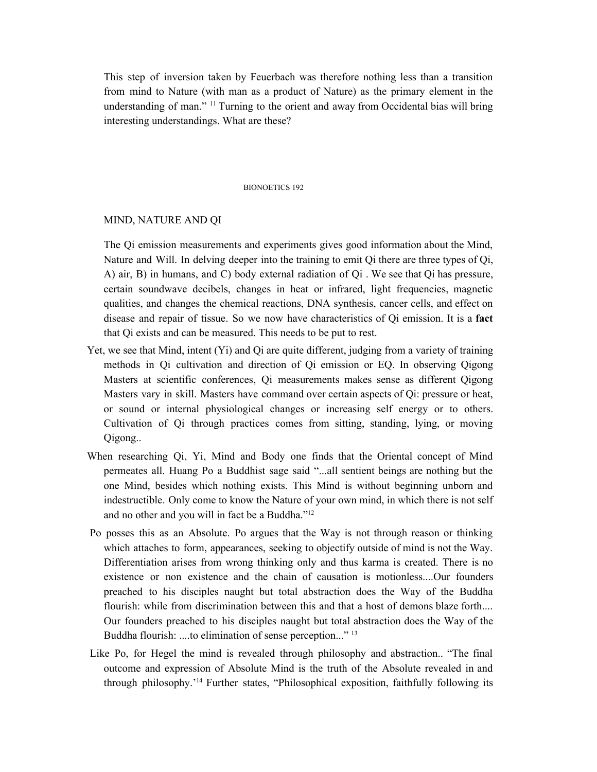This step of inversion taken by Feuerbach was therefore nothing less than a transition from mind to Nature (with man as a product of Nature) as the primary element in the understanding of man." <sup>11</sup> Turning to the orient and away from Occidental bias will bring interesting understandings. What are these?

#### BIONOETICS 192

#### MIND, NATURE AND QI

The Qi emission measurements and experiments gives good information about the Mind, Nature and Will. In delving deeper into the training to emit Qi there are three types of Qi, A) air, B) in humans, and C) body external radiation of Qi . We see that Qi has pressure, certain soundwave decibels, changes in heat or infrared, light frequencies, magnetic qualities, and changes the chemical reactions, DNA synthesis, cancer cells, and effect on disease and repair of tissue. So we now have characteristics of Qi emission. It is a **fact** that Qi exists and can be measured. This needs to be put to rest.

- Yet, we see that Mind, intent (Yi) and Qi are quite different, judging from a variety of training methods in Qi cultivation and direction of Qi emission or EQ. In observing Qigong Masters at scientific conferences, Qi measurements makes sense as different Qigong Masters vary in skill. Masters have command over certain aspects of Qi: pressure or heat, or sound or internal physiological changes or increasing self energy or to others. Cultivation of Qi through practices comes from sitting, standing, lying, or moving Qigong..
- When researching Qi, Yi, Mind and Body one finds that the Oriental concept of Mind permeates all. Huang Po a Buddhist sage said "...all sentient beings are nothing but the one Mind, besides which nothing exists. This Mind is without beginning unborn and indestructible. Only come to know the Nature of your own mind, in which there is not self and no other and you will in fact be a Buddha." 12
- Po posses this as an Absolute. Po argues that the Way is not through reason or thinking which attaches to form, appearances, seeking to objectify outside of mind is not the Way. Differentiation arises from wrong thinking only and thus karma is created. There is no existence or non existence and the chain of causation is motionless....Our founders preached to his disciples naught but total abstraction does the Way of the Buddha flourish: while from discrimination between this and that a host of demons blaze forth.... Our founders preached to his disciples naught but total abstraction does the Way of the Buddha flourish: ....to elimination of sense perception..."<sup>13</sup>
- Like Po, for Hegel the mind is revealed through philosophy and abstraction.. "The final outcome and expression of Absolute Mind is the truth of the Absolute revealed in and through philosophy.' <sup>14</sup> Further states, "Philosophical exposition, faithfully following its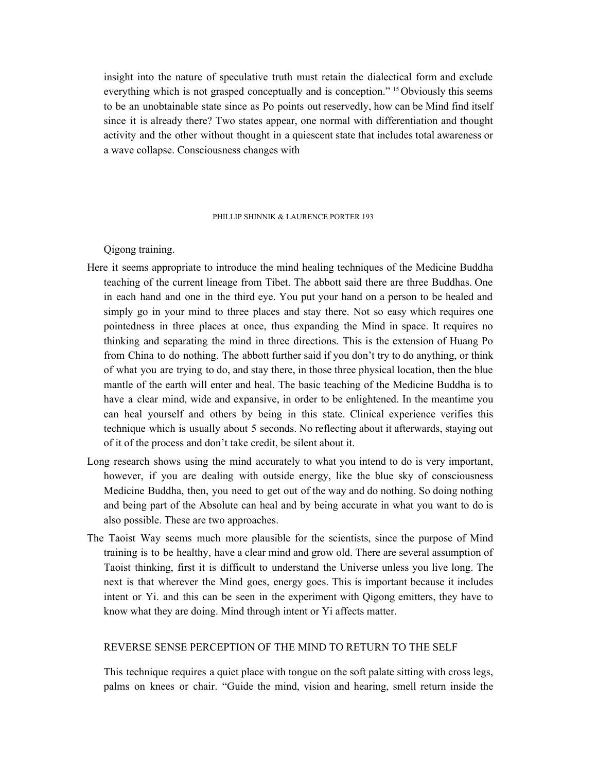insight into the nature of speculative truth must retain the dialectical form and exclude everything which is not grasped conceptually and is conception." <sup>15</sup> Obviously this seems to be an unobtainable state since as Po points out reservedly, how can be Mind find itself since it is already there? Two states appear, one normal with differentiation and thought activity and the other without thought in a quiescent state that includes total awareness or a wave collapse. Consciousness changes with

#### PHILLIP SHINNIK & LAURENCE PORTER 193

Qigong training.

- Here it seems appropriate to introduce the mind healing techniques of the Medicine Buddha teaching of the current lineage from Tibet. The abbott said there are three Buddhas. One in each hand and one in the third eye. You put your hand on a person to be healed and simply go in your mind to three places and stay there. Not so easy which requires one pointedness in three places at once, thus expanding the Mind in space. It requires no thinking and separating the mind in three directions. This is the extension of Huang Po from China to do nothing. The abbott further said if you don't try to do anything, or think of what you are trying to do, and stay there, in those three physical location, then the blue mantle of the earth will enter and heal. The basic teaching of the Medicine Buddha is to have a clear mind, wide and expansive, in order to be enlightened. In the meantime you can heal yourself and others by being in this state. Clinical experience verifies this technique which is usually about 5 seconds. No reflecting about it afterwards, staying out of it of the process and don't take credit, be silent about it.
- Long research shows using the mind accurately to what you intend to do is very important, however, if you are dealing with outside energy, like the blue sky of consciousness Medicine Buddha, then, you need to get out of the way and do nothing. So doing nothing and being part of the Absolute can heal and by being accurate in what you want to do is also possible. These are two approaches.
- The Taoist Way seems much more plausible for the scientists, since the purpose of Mind training is to be healthy, have a clear mind and grow old. There are several assumption of Taoist thinking, first it is difficult to understand the Universe unless you live long. The next is that wherever the Mind goes, energy goes. This is important because it includes intent or Yi. and this can be seen in the experiment with Qigong emitters, they have to know what they are doing. Mind through intent or Yi affects matter.

# REVERSE SENSE PERCEPTION OF THE MIND TO RETURN TO THE SELF

This technique requires a quiet place with tongue on the soft palate sitting with cross legs, palms on knees or chair. "Guide the mind, vision and hearing, smell return inside the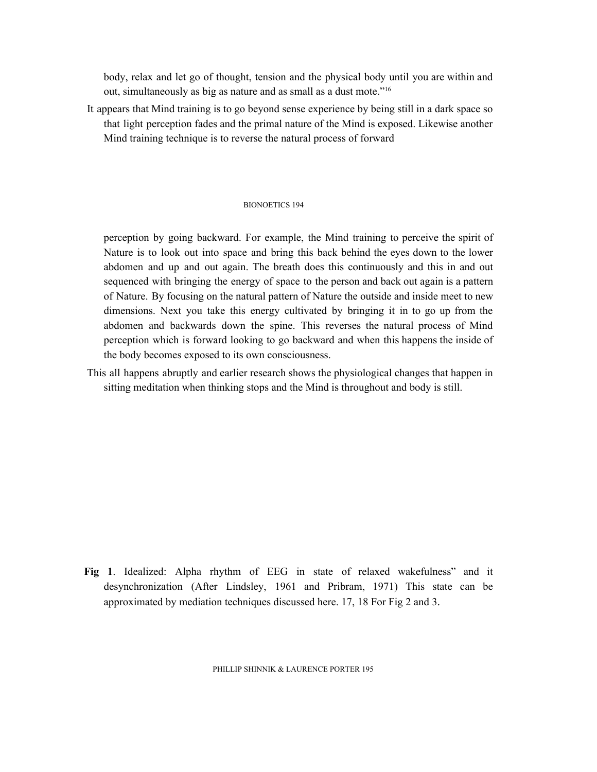body, relax and let go of thought, tension and the physical body until you are within and out, simultaneously as big as nature and as small as a dust mote." 16

It appears that Mind training is to go beyond sense experience by being still in a dark space so that light perception fades and the primal nature of the Mind is exposed. Likewise another Mind training technique is to reverse the natural process of forward

#### BIONOETICS 194

perception by going backward. For example, the Mind training to perceive the spirit of Nature is to look out into space and bring this back behind the eyes down to the lower abdomen and up and out again. The breath does this continuously and this in and out sequenced with bringing the energy of space to the person and back out again is a pattern of Nature. By focusing on the natural pattern of Nature the outside and inside meet to new dimensions. Next you take this energy cultivated by bringing it in to go up from the abdomen and backwards down the spine. This reverses the natural process of Mind perception which is forward looking to go backward and when this happens the inside of the body becomes exposed to its own consciousness.

This all happens abruptly and earlier research shows the physiological changes that happen in sitting meditation when thinking stops and the Mind is throughout and body is still.

**Fig 1**. Idealized: Alpha rhythm of EEG in state of relaxed wakefulness" and it desynchronization (After Lindsley, 1961 and Pribram, 1971) This state can be approximated by mediation techniques discussed here. 17, 18 For Fig 2 and 3.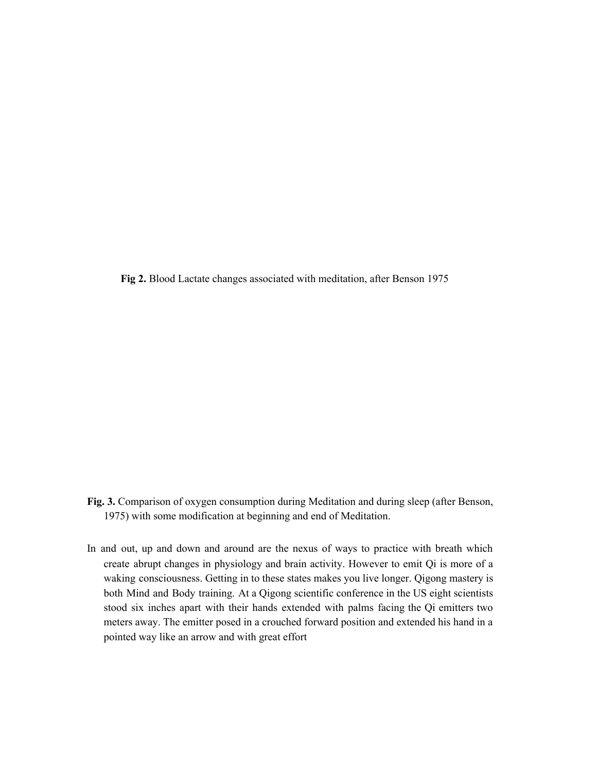**Fig 2.** Blood Lactate changes associated with meditation, after Benson 1975

- **Fig. 3.** Comparison of oxygen consumption during Meditation and during sleep (after Benson, 1975) with some modification at beginning and end of Meditation.
- In and out, up and down and around are the nexus of ways to practice with breath which create abrupt changes in physiology and brain activity. However to emit Qi is more of a waking consciousness. Getting in to these states makes you live longer. Qigong mastery is both Mind and Body training. At a Qigong scientific conference in the US eight scientists stood six inches apart with their hands extended with palms facing the Qi emitters two meters away. The emitter posed in a crouched forward position and extended his hand in a pointed way like an arrow and with great effort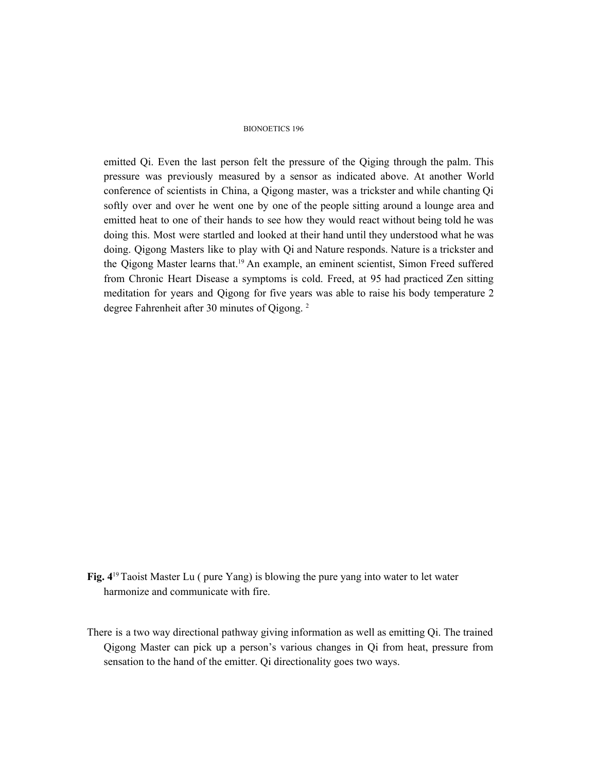#### BIONOETICS 196

emitted Qi. Even the last person felt the pressure of the Qiging through the palm. This pressure was previously measured by a sensor as indicated above. At another World conference of scientists in China, a Qigong master, was a trickster and while chanting Qi softly over and over he went one by one of the people sitting around a lounge area and emitted heat to one of their hands to see how they would react without being told he was doing this. Most were startled and looked at their hand until they understood what he was doing. Qigong Masters like to play with Qi and Nature responds. Nature is a trickster and the Qigong Master learns that. <sup>19</sup> An example, an eminent scientist, Simon Freed suffered from Chronic Heart Disease a symptoms is cold. Freed, at 95 had practiced Zen sitting meditation for years and Qigong for five years was able to raise his body temperature 2 degree Fahrenheit after 30 minutes of Qigong. 2

- **Fig. 4** <sup>19</sup>Taoist Master Lu ( pure Yang) is blowing the pure yang into water to let water harmonize and communicate with fire.
- There is a two way directional pathway giving information as well as emitting Qi. The trained Qigong Master can pick up a person's various changes in Qi from heat, pressure from sensation to the hand of the emitter. Qi directionality goes two ways.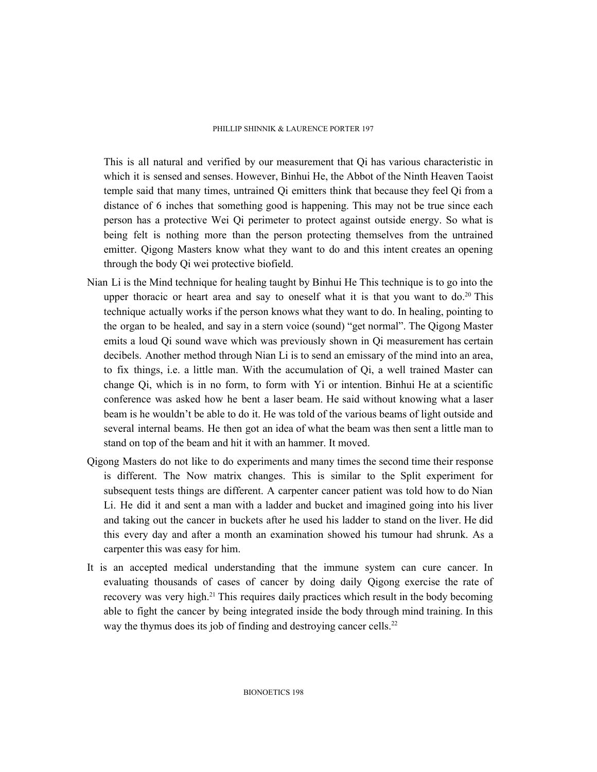#### PHILLIP SHINNIK & LAURENCE PORTER 197

This is all natural and verified by our measurement that Qi has various characteristic in which it is sensed and senses. However, Binhui He, the Abbot of the Ninth Heaven Taoist temple said that many times, untrained Qi emitters think that because they feel Qi from a distance of 6 inches that something good is happening. This may not be true since each person has a protective Wei Qi perimeter to protect against outside energy. So what is being felt is nothing more than the person protecting themselves from the untrained emitter. Qigong Masters know what they want to do and this intent creates an opening through the body Qi wei protective biofield.

- Nian Li is the Mind technique for healing taught by Binhui He This technique is to go into the upper thoracic or heart area and say to oneself what it is that you want to  $do.^{20}$  This technique actually works if the person knows what they want to do. In healing, pointing to the organ to be healed, and say in a stern voice (sound) "get normal". The Qigong Master emits a loud Qi sound wave which was previously shown in Qi measurement has certain decibels. Another method through Nian Li is to send an emissary of the mind into an area, to fix things, i.e. a little man. With the accumulation of Qi, a well trained Master can change Qi, which is in no form, to form with Yi or intention. Binhui He at a scientific conference was asked how he bent a laser beam. He said without knowing what a laser beam is he wouldn't be able to do it. He was told of the various beams of light outside and several internal beams. He then got an idea of what the beam was then sent a little man to stand on top of the beam and hit it with an hammer. It moved.
- Qigong Masters do not like to do experiments and many times the second time their response is different. The Now matrix changes. This is similar to the Split experiment for subsequent tests things are different. A carpenter cancer patient was told how to do Nian Li. He did it and sent a man with a ladder and bucket and imagined going into his liver and taking out the cancer in buckets after he used his ladder to stand on the liver. He did this every day and after a month an examination showed his tumour had shrunk. As a carpenter this was easy for him.
- It is an accepted medical understanding that the immune system can cure cancer. In evaluating thousands of cases of cancer by doing daily Qigong exercise the rate of recovery was very high.<sup>21</sup> This requires daily practices which result in the body becoming able to fight the cancer by being integrated inside the body through mind training. In this way the thymus does its job of finding and destroying cancer cells.<sup>22</sup>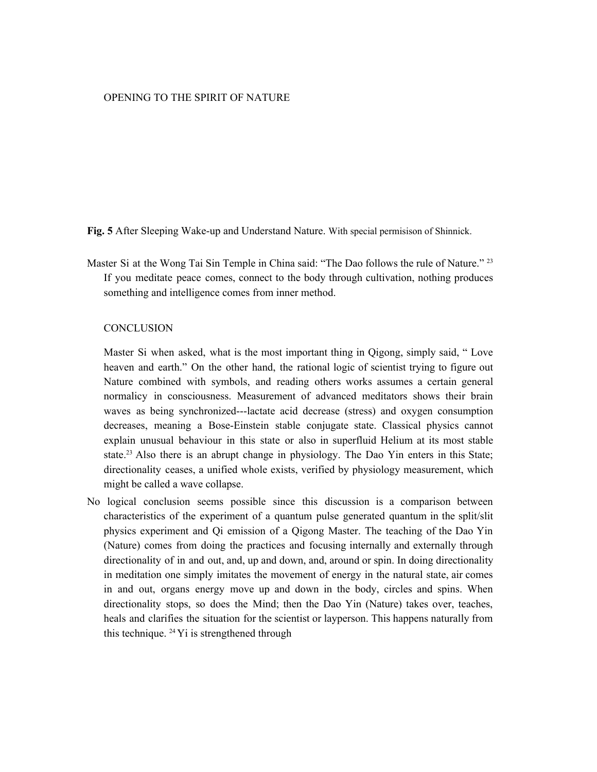# OPENING TO THE SPIRIT OF NATURE

**Fig. 5** After Sleeping Wake-up and Understand Nature. With special permisison of Shinnick.

Master Si at the Wong Tai Sin Temple in China said: "The Dao follows the rule of Nature."<sup>23</sup> If you meditate peace comes, connect to the body through cultivation, nothing produces something and intelligence comes from inner method.

### **CONCLUSION**

Master Si when asked, what is the most important thing in Qigong, simply said, " Love heaven and earth." On the other hand, the rational logic of scientist trying to figure out Nature combined with symbols, and reading others works assumes a certain general normalicy in consciousness. Measurement of advanced meditators shows their brain waves as being synchronized---lactate acid decrease (stress) and oxygen consumption decreases, meaning a Bose-Einstein stable conjugate state. Classical physics cannot explain unusual behaviour in this state or also in superfluid Helium at its most stable state.<sup>23</sup> Also there is an abrupt change in physiology. The Dao Yin enters in this State; directionality ceases, a unified whole exists, verified by physiology measurement, which might be called a wave collapse.

No logical conclusion seems possible since this discussion is a comparison between characteristics of the experiment of a quantum pulse generated quantum in the split/slit physics experiment and Qi emission of a Qigong Master. The teaching of the Dao Yin (Nature) comes from doing the practices and focusing internally and externally through directionality of in and out, and, up and down, and, around or spin. In doing directionality in meditation one simply imitates the movement of energy in the natural state, air comes in and out, organs energy move up and down in the body, circles and spins. When directionality stops, so does the Mind; then the Dao Yin (Nature) takes over, teaches, heals and clarifies the situation for the scientist or layperson. This happens naturally from this technique. <sup>24</sup> Yi is strengthened through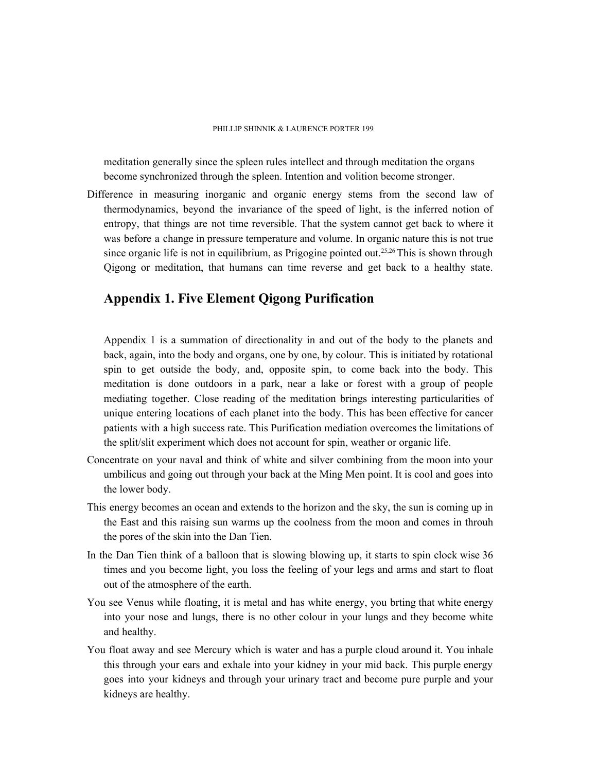meditation generally since the spleen rules intellect and through meditation the organs become synchronized through the spleen. Intention and volition become stronger.

Difference in measuring inorganic and organic energy stems from the second law of thermodynamics, beyond the invariance of the speed of light, is the inferred notion of entropy, that things are not time reversible. That the system cannot get back to where it was before a change in pressure temperature and volume. In organic nature this is not true since organic life is not in equilibrium, as Prigogine pointed out.<sup>25,26</sup> This is shown through Qigong or meditation, that humans can time reverse and get back to a healthy state.

# **Appendix 1. Five Element Qigong Purification**

Appendix 1 is a summation of directionality in and out of the body to the planets and back, again, into the body and organs, one by one, by colour. This is initiated by rotational spin to get outside the body, and, opposite spin, to come back into the body. This meditation is done outdoors in a park, near a lake or forest with a group of people mediating together. Close reading of the meditation brings interesting particularities of unique entering locations of each planet into the body. This has been effective for cancer patients with a high success rate. This Purification mediation overcomes the limitations of the split/slit experiment which does not account for spin, weather or organic life.

- Concentrate on your naval and think of white and silver combining from the moon into your umbilicus and going out through your back at the Ming Men point. It is cool and goes into the lower body.
- This energy becomes an ocean and extends to the horizon and the sky, the sun is coming up in the East and this raising sun warms up the coolness from the moon and comes in throuh the pores of the skin into the Dan Tien.
- In the Dan Tien think of a balloon that is slowing blowing up, it starts to spin clock wise 36 times and you become light, you loss the feeling of your legs and arms and start to float out of the atmosphere of the earth.
- You see Venus while floating, it is metal and has white energy, you brting that white energy into your nose and lungs, there is no other colour in your lungs and they become white and healthy.
- You float away and see Mercury which is water and has a purple cloud around it. You inhale this through your ears and exhale into your kidney in your mid back. This purple energy goes into your kidneys and through your urinary tract and become pure purple and your kidneys are healthy.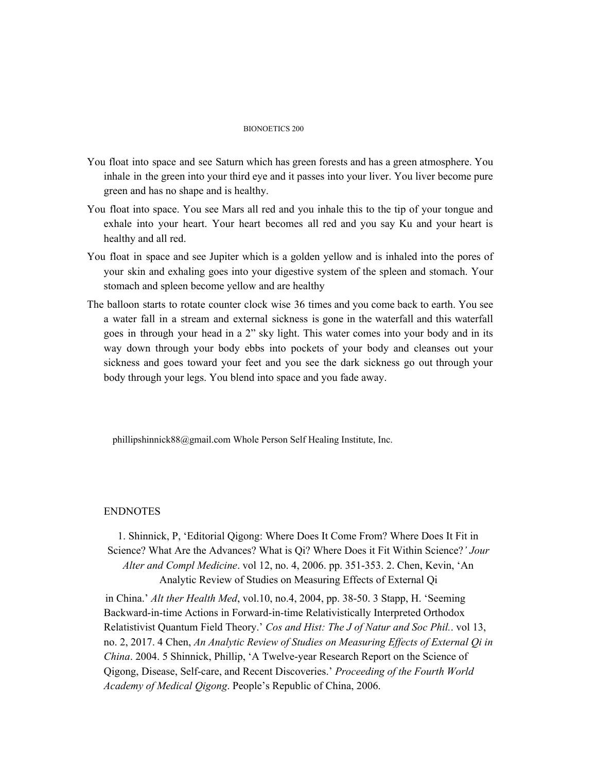#### BIONOETICS 200

- You float into space and see Saturn which has green forests and has a green atmosphere. You inhale in the green into your third eye and it passes into your liver. You liver become pure green and has no shape and is healthy.
- You float into space. You see Mars all red and you inhale this to the tip of your tongue and exhale into your heart. Your heart becomes all red and you say Ku and your heart is healthy and all red.
- You float in space and see Jupiter which is a golden yellow and is inhaled into the pores of your skin and exhaling goes into your digestive system of the spleen and stomach. Your stomach and spleen become yellow and are healthy
- The balloon starts to rotate counter clock wise 36 times and you come back to earth. You see a water fall in a stream and external sickness is gone in the waterfall and this waterfall goes in through your head in a 2" sky light. This water comes into your body and in its way down through your body ebbs into pockets of your body and cleanses out your sickness and goes toward your feet and you see the dark sickness go out through your body through your legs. You blend into space and you fade away.

phillipshinnick88@gmail.com Whole Person Self Healing Institute, Inc.

#### ENDNOTES

1. Shinnick, P, 'Editorial Qigong: Where Does It Come From? Where Does It Fit in Science? What Are the Advances? What is Qi? Where Does it Fit Within Science?*' Jour Alter and Compl Medicine*. vol 12, no. 4, 2006. pp. 351-353. 2. Chen, Kevin, 'An Analytic Review of Studies on Measuring Effects of External Qi

in China.' *Alt ther Health Med*, vol.10, no.4, 2004, pp. 38-50. 3 Stapp, H. 'Seeming Backward-in-time Actions in Forward-in-time Relativistically Interpreted Orthodox Relatistivist Quantum Field Theory.' *Cos and Hist: The J of Natur and Soc Phil.*. vol 13, no. 2, 2017. 4 Chen, *An Analytic Review of Studies on Measuring Ef ects of External Qi in China*. 2004. 5 Shinnick, Phillip, 'A Twelve-year Research Report on the Science of Qigong, Disease, Self-care, and Recent Discoveries.' *Proceeding of the Fourth World Academy of Medical Qigong*. People's Republic of China, 2006.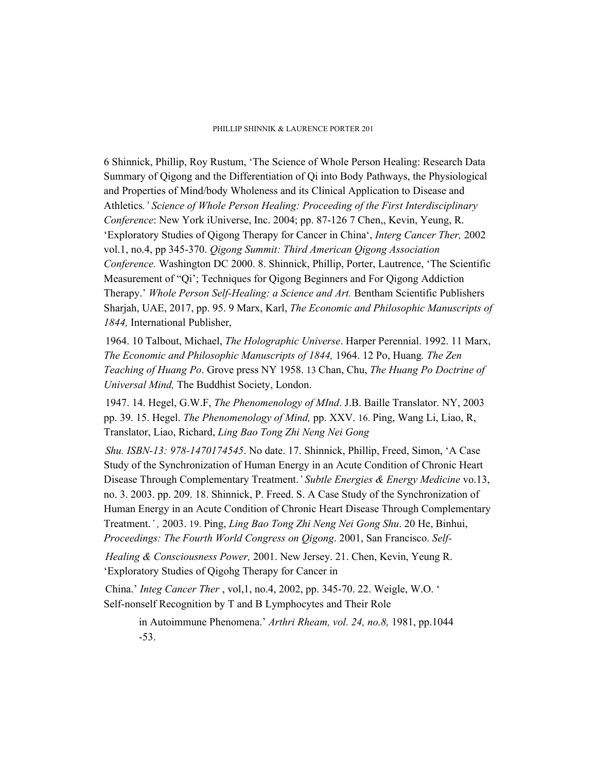#### PHILLIP SHINNIK & LAURENCE PORTER 201

6 Shinnick, Phillip, Roy Rustum, 'The Science of Whole Person Healing: Research Data Summary of Qigong and the Differentiation of Qi into Body Pathways, the Physiological and Properties of Mind/body Wholeness and its Clinical Application to Disease and Athletics*.' Science of Whole Person Healing: Proceeding of the First Interdisciplinary Conference*: New York iUniverse, Inc. 2004; pp. 87-126 7 Chen,, Kevin, Yeung, R. 'Exploratory Studies of Qigong Therapy for Cancer in China', *Interg Cancer Ther,* 2002 vol.1, no.4, pp 345-370. *Qigong Summit: Third American Qigong Association Conference.* Washington DC 2000. 8. Shinnick, Phillip, Porter, Lautrence, 'The Scientific Measurement of "Qi'; Techniques for Qigong Beginners and For Qigong Addiction Therapy.' *Whole Person Self-Healing: a Science and Art.* Bentham Scientific Publishers Sharjah, UAE, 2017, pp. 95. 9 Marx, Karl, *The Economic and Philosophic Manuscripts of 1844,* International Publisher,

1964. 10 Talbout, Michael, *The Holographic Universe*. Harper Perennial. 1992. 11 Marx, *The Economic and Philosophic Manuscripts of 1844,* 1964. 12 Po, Huang*. The Zen Teaching of Huang Po*. Grove press NY 1958. 13 Chan, Chu, *The Huang Po Doctrine of Universal Mind,* The Buddhist Society, London.

1947. 14. Hegel, G.W.F, *The Phenomenology of MInd*. J.B. Baille Translator. NY, 2003 pp. 39. 15. Hegel. *The Phenomenology of Mind,* pp. XXV. 16. Ping, Wang Li, Liao, R, Translator, Liao, Richard, *Ling Bao Tong Zhi Neng Nei Gong*

*Shu. ISBN-13: 978-1470174545*. No date. 17. Shinnick, Phillip, Freed, Simon, 'A Case Study of the Synchronization of Human Energy in an Acute Condition of Chronic Heart Disease Through Complementary Treatment.*' Subtle Energies & Energy Medicine* vo.13, no. 3. 2003. pp. 209. 18. Shinnick, P. Freed. S. A Case Study of the Synchronization of Human Energy in an Acute Condition of Chronic Heart Disease Through Complementary Treatment.*' ,* 2003. 19. Ping, *Ling Bao Tong Zhi Neng Nei Gong Shu*. 20 He, Binhui, *Proceedings: The Fourth World Congress on Qigong*. 2001, San Francisco. *Self-*

*Healing & Consciousness Power,* 2001. New Jersey. 21. Chen, Kevin, Yeung R. 'Exploratory Studies of Qigohg Therapy for Cancer in

China.' *Integ Cancer Ther* , vol,1, no.4, 2002, pp. 345-70. 22. Weigle, W.O. ' Self-nonself Recognition by T and B Lymphocytes and Their Role

> in Autoimmune Phenomena.' *Arthri Rheam, vol. 24, no.8,* 1981, pp.1044 -53.